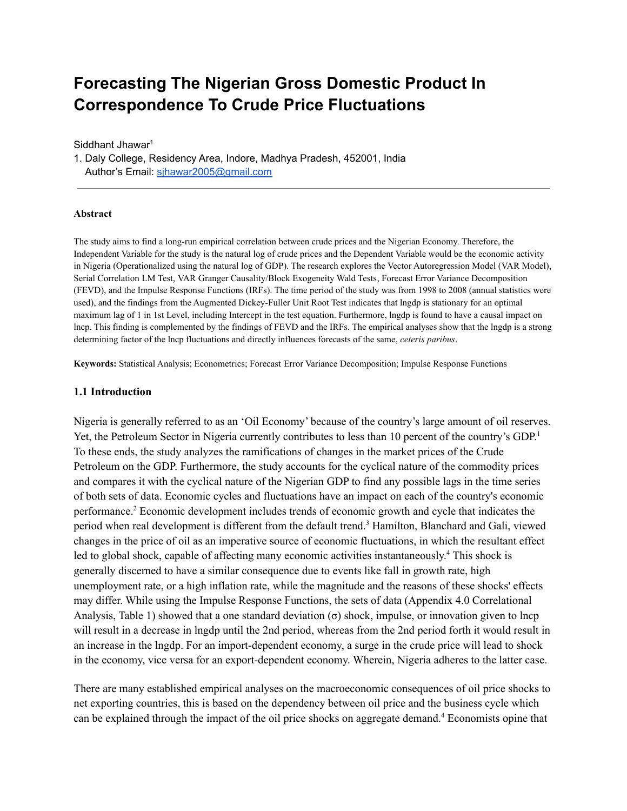# **Forecasting The Nigerian Gross Domestic Product In Correspondence To Crude Price Fluctuations**

Siddhant Jhawar<sup>1</sup>

1. Daly College, Residency Area, Indore, Madhya Pradesh, 452001, India Author's Email: [sjhawar2005@gmail.com](mailto:sjhawar2005@gmail.com)

#### **Abstract**

The study aims to find a long-run empirical correlation between crude prices and the Nigerian Economy. Therefore, the Independent Variable for the study is the natural log of crude prices and the Dependent Variable would be the economic activity in Nigeria (Operationalized using the natural log of GDP). The research explores the Vector Autoregression Model (VAR Model), Serial Correlation LM Test, VAR Granger Causality/Block Exogeneity Wald Tests, Forecast Error Variance Decomposition (FEVD), and the Impulse Response Functions (IRFs). The time period of the study was from 1998 to 2008 (annual statistics were used), and the findings from the Augmented Dickey-Fuller Unit Root Test indicates that lngdp is stationary for an optimal maximum lag of 1 in 1st Level, including Intercept in the test equation. Furthermore, lngdp is found to have a causal impact on lncp. This finding is complemented by the findings of FEVD and the IRFs. The empirical analyses show that the lngdp is a strong determining factor of the lncp fluctuations and directly influences forecasts of the same, *ceteris paribus*.

**Keywords:** Statistical Analysis; Econometrics; Forecast Error Variance Decomposition; Impulse Response Functions

#### **1.1 Introduction**

Nigeria is generally referred to as an 'Oil Economy' because of the country's large amount of oil reserves. Yet, the Petroleum Sector in Nigeria currently contributes to less than 10 percent of the country's GDP.<sup>1</sup> To these ends, the study analyzes the ramifications of changes in the market prices of the Crude Petroleum on the GDP. Furthermore, the study accounts for the cyclical nature of the commodity prices and compares it with the cyclical nature of the Nigerian GDP to find any possible lags in the time series of both sets of data. Economic cycles and fluctuations have an impact on each of the country's economic performance. <sup>2</sup> Economic development includes trends of economic growth and cycle that indicates the period when real development is different from the default trend. <sup>3</sup> Hamilton, Blanchard and Gali, viewed changes in the price of oil as an imperative source of economic fluctuations, in which the resultant effect led to global shock, capable of affecting many economic activities instantaneously. <sup>4</sup> This shock is generally discerned to have a similar consequence due to events like fall in growth rate, high unemployment rate, or a high inflation rate, while the magnitude and the reasons of these shocks' effects may differ. While using the Impulse Response Functions, the sets of data (Appendix 4.0 Correlational Analysis, Table 1) showed that a one standard deviation ( $\sigma$ ) shock, impulse, or innovation given to lncp will result in a decrease in lngdp until the 2nd period, whereas from the 2nd period forth it would result in an increase in the lngdp. For an import-dependent economy, a surge in the crude price will lead to shock in the economy, vice versa for an export-dependent economy. Wherein, Nigeria adheres to the latter case.

There are many established empirical analyses on the macroeconomic consequences of oil price shocks to net exporting countries, this is based on the dependency between oil price and the business cycle which can be explained through the impact of the oil price shocks on aggregate demand. <sup>4</sup> Economists opine that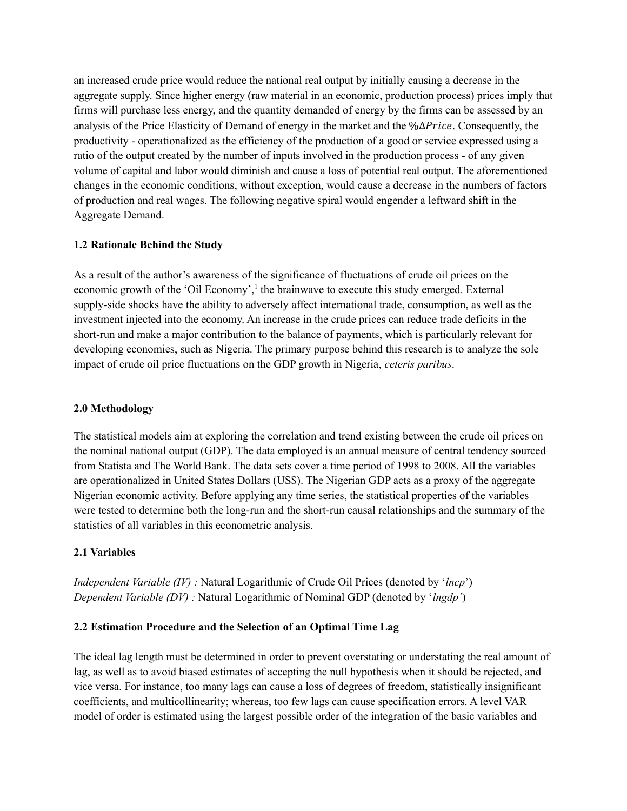an increased crude price would reduce the national real output by initially causing a decrease in the aggregate supply. Since higher energy (raw material in an economic, production process) prices imply that firms will purchase less energy, and the quantity demanded of energy by the firms can be assessed by an analysis of the Price Elasticity of Demand of energy in the market and the %∆Price. Consequently, the productivity - operationalized as the efficiency of the production of a good or service expressed using a ratio of the output created by the number of inputs involved in the production process - of any given volume of capital and labor would diminish and cause a loss of potential real output. The aforementioned changes in the economic conditions, without exception, would cause a decrease in the numbers of factors of production and real wages. The following negative spiral would engender a leftward shift in the Aggregate Demand.

#### **1.2 Rationale Behind the Study**

As a result of the author's awareness of the significance of fluctuations of crude oil prices on the economic growth of the 'Oil Economy',<sup>1</sup> the brainwave to execute this study emerged. External supply-side shocks have the ability to adversely affect international trade, consumption, as well as the investment injected into the economy. An increase in the crude prices can reduce trade deficits in the short-run and make a major contribution to the balance of payments, which is particularly relevant for developing economies, such as Nigeria. The primary purpose behind this research is to analyze the sole impact of crude oil price fluctuations on the GDP growth in Nigeria, *ceteris paribus*.

#### **2.0 Methodology**

The statistical models aim at exploring the correlation and trend existing between the crude oil prices on the nominal national output (GDP). The data employed is an annual measure of central tendency sourced from Statista and The World Bank. The data sets cover a time period of 1998 to 2008. All the variables are operationalized in United States Dollars (US\$). The Nigerian GDP acts as a proxy of the aggregate Nigerian economic activity. Before applying any time series, the statistical properties of the variables were tested to determine both the long-run and the short-run causal relationships and the summary of the statistics of all variables in this econometric analysis.

### **2.1 Variables**

*Independent Variable (IV) :* Natural Logarithmic of Crude Oil Prices (denoted by '*lncp*') *Dependent Variable (DV) :* Natural Logarithmic of Nominal GDP (denoted by '*lngdp'*)

#### **2.2 Estimation Procedure and the Selection of an Optimal Time Lag**

The ideal lag length must be determined in order to prevent overstating or understating the real amount of lag, as well as to avoid biased estimates of accepting the null hypothesis when it should be rejected, and vice versa. For instance, too many lags can cause a loss of degrees of freedom, statistically insignificant coefficients, and multicollinearity; whereas, too few lags can cause specification errors. A level VAR model of order is estimated using the largest possible order of the integration of the basic variables and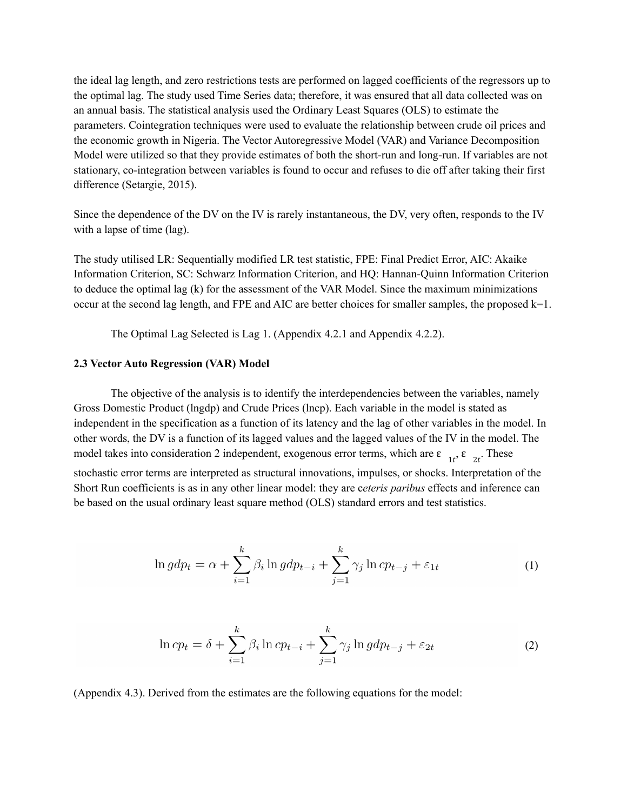the ideal lag length, and zero restrictions tests are performed on lagged coefficients of the regressors up to the optimal lag. The study used Time Series data; therefore, it was ensured that all data collected was on an annual basis. The statistical analysis used the Ordinary Least Squares (OLS) to estimate the parameters. Cointegration techniques were used to evaluate the relationship between crude oil prices and the economic growth in Nigeria. The Vector Autoregressive Model (VAR) and Variance Decomposition Model were utilized so that they provide estimates of both the short-run and long-run. If variables are not stationary, co-integration between variables is found to occur and refuses to die off after taking their first difference (Setargie, 2015).

Since the dependence of the DV on the IV is rarely instantaneous, the DV, very often, responds to the IV with a lapse of time (lag).

The study utilised LR: Sequentially modified LR test statistic, FPE: Final Predict Error, AIC: Akaike Information Criterion, SC: Schwarz Information Criterion, and HQ: Hannan-Quinn Information Criterion to deduce the optimal lag (k) for the assessment of the VAR Model. Since the maximum minimizations occur at the second lag length, and FPE and AIC are better choices for smaller samples, the proposed k=1.

The Optimal Lag Selected is Lag 1. (Appendix 4.2.1 and Appendix 4.2.2).

#### **2.3 Vector Auto Regression (VAR) Model**

The objective of the analysis is to identify the interdependencies between the variables, namely Gross Domestic Product (lngdp) and Crude Prices (lncp). Each variable in the model is stated as independent in the specification as a function of its latency and the lag of other variables in the model. In other words, the DV is a function of its lagged values and the lagged values of the IV in the model. The model takes into consideration 2 independent, exogenous error terms, which are  $\varepsilon_{1t}$ ,  $\varepsilon_{2t}$ . These

stochastic error terms are interpreted as structural innovations, impulses, or shocks. Interpretation of the Short Run coefficients is as in any other linear model: they are c*eteris paribus* effects and inference can be based on the usual ordinary least square method (OLS) standard errors and test statistics.

$$
\ln gdp_t = \alpha + \sum_{i=1}^{k} \beta_i \ln gdp_{t-i} + \sum_{j=1}^{k} \gamma_j \ln cp_{t-j} + \varepsilon_{1t}
$$
 (1)

$$
\ln cp_t = \delta + \sum_{i=1}^k \beta_i \ln cp_{t-i} + \sum_{j=1}^k \gamma_j \ln gdp_{t-j} + \varepsilon_{2t}
$$
\n(2)

(Appendix 4.3). Derived from the estimates are the following equations for the model: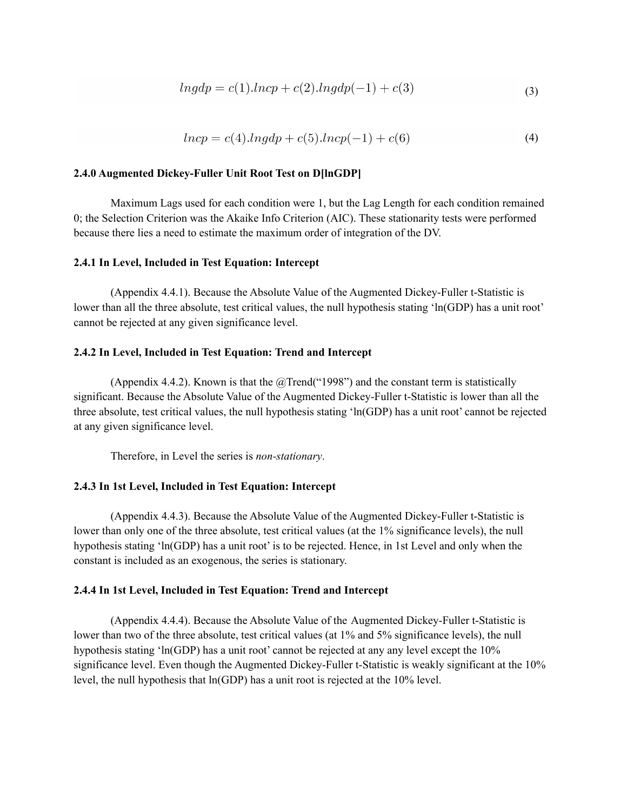$$
ln gdp = c(1).ln cp + c(2).ln gdp(-1) + c(3)
$$
\n(3)

$$
lncp = c(4).lngdp + c(5).lncp(-1) + c(6)
$$
\n(4)

#### **2.4.0 Augmented Dickey-Fuller Unit Root Test on D[lnGDP]**

Maximum Lags used for each condition were 1, but the Lag Length for each condition remained 0; the Selection Criterion was the Akaike Info Criterion (AIC). These stationarity tests were performed because there lies a need to estimate the maximum order of integration of the DV.

#### **2.4.1 In Level, Included in Test Equation: Intercept**

(Appendix 4.4.1). Because the Absolute Value of the Augmented Dickey-Fuller t-Statistic is lower than all the three absolute, test critical values, the null hypothesis stating 'ln(GDP) has a unit root' cannot be rejected at any given significance level.

#### **2.4.2 In Level, Included in Test Equation: Trend and Intercept**

(Appendix 4.4.2). Known is that the  $@$ Trend("1998") and the constant term is statistically significant. Because the Absolute Value of the Augmented Dickey-Fuller t-Statistic is lower than all the three absolute, test critical values, the null hypothesis stating 'ln(GDP) has a unit root' cannot be rejected at any given significance level.

Therefore, in Level the series is *non-stationary*.

#### **2.4.3 In 1st Level, Included in Test Equation: Intercept**

(Appendix 4.4.3). Because the Absolute Value of the Augmented Dickey-Fuller t-Statistic is lower than only one of the three absolute, test critical values (at the 1% significance levels), the null hypothesis stating 'ln(GDP) has a unit root' is to be rejected. Hence, in 1st Level and only when the constant is included as an exogenous, the series is stationary.

#### **2.4.4 In 1st Level, Included in Test Equation: Trend and Intercept**

(Appendix 4.4.4). Because the Absolute Value of the Augmented Dickey-Fuller t-Statistic is lower than two of the three absolute, test critical values (at 1% and 5% significance levels), the null hypothesis stating 'ln(GDP) has a unit root' cannot be rejected at any any level except the 10% significance level. Even though the Augmented Dickey-Fuller t-Statistic is weakly significant at the 10% level, the null hypothesis that ln(GDP) has a unit root is rejected at the 10% level.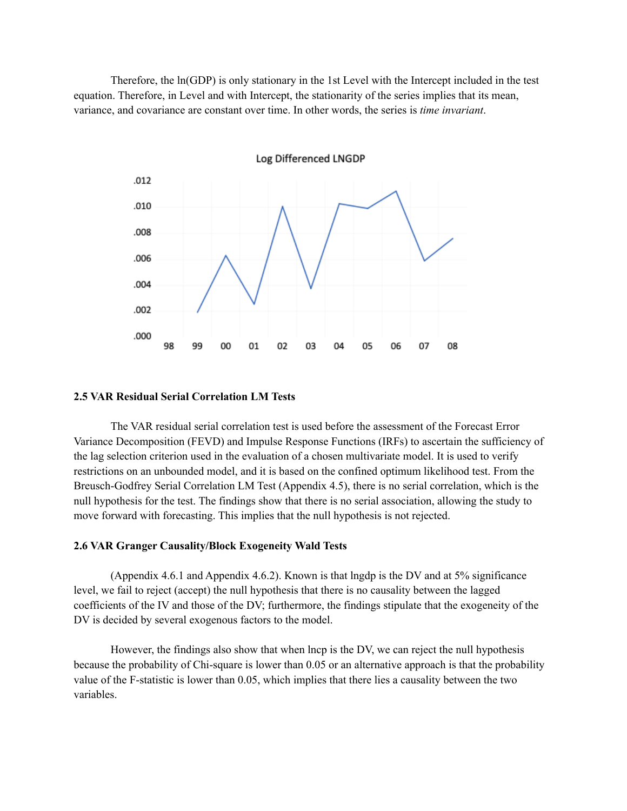Therefore, the ln(GDP) is only stationary in the 1st Level with the Intercept included in the test equation. Therefore, in Level and with Intercept, the stationarity of the series implies that its mean, variance, and covariance are constant over time. In other words, the series is *time invariant*.



#### **2.5 VAR Residual Serial Correlation LM Tests**

The VAR residual serial correlation test is used before the assessment of the Forecast Error Variance Decomposition (FEVD) and Impulse Response Functions (IRFs) to ascertain the sufficiency of the lag selection criterion used in the evaluation of a chosen multivariate model. It is used to verify restrictions on an unbounded model, and it is based on the confined optimum likelihood test. From the Breusch-Godfrey Serial Correlation LM Test (Appendix 4.5), there is no serial correlation, which is the null hypothesis for the test. The findings show that there is no serial association, allowing the study to move forward with forecasting. This implies that the null hypothesis is not rejected.

#### **2.6 VAR Granger Causality/Block Exogeneity Wald Tests**

(Appendix 4.6.1 and Appendix 4.6.2). Known is that lngdp is the DV and at 5% significance level, we fail to reject (accept) the null hypothesis that there is no causality between the lagged coefficients of the IV and those of the DV; furthermore, the findings stipulate that the exogeneity of the DV is decided by several exogenous factors to the model.

However, the findings also show that when lncp is the DV, we can reject the null hypothesis because the probability of Chi-square is lower than 0.05 or an alternative approach is that the probability value of the F-statistic is lower than 0.05, which implies that there lies a causality between the two variables.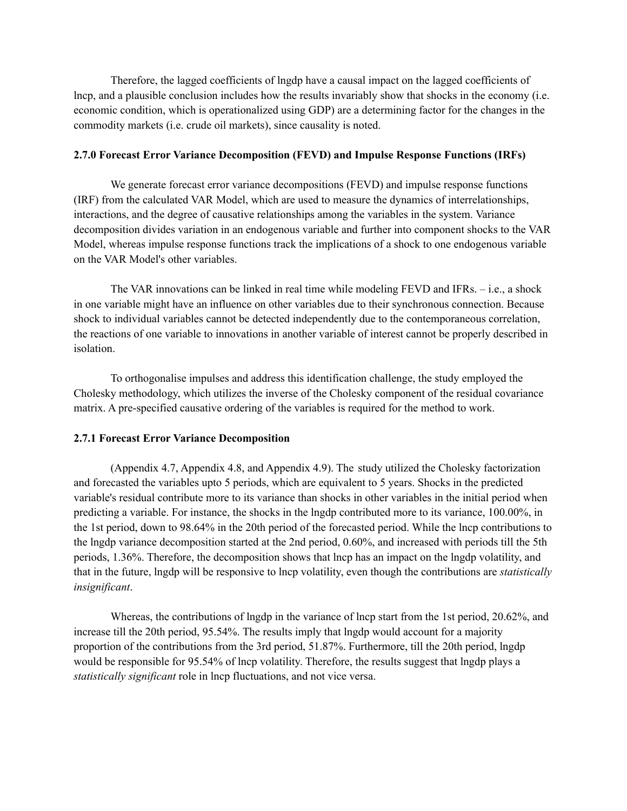Therefore, the lagged coefficients of lngdp have a causal impact on the lagged coefficients of lncp, and a plausible conclusion includes how the results invariably show that shocks in the economy (i.e. economic condition, which is operationalized using GDP) are a determining factor for the changes in the commodity markets (i.e. crude oil markets), since causality is noted.

#### **2.7.0 Forecast Error Variance Decomposition (FEVD) and Impulse Response Functions (IRFs)**

We generate forecast error variance decompositions (FEVD) and impulse response functions (IRF) from the calculated VAR Model, which are used to measure the dynamics of interrelationships, interactions, and the degree of causative relationships among the variables in the system. Variance decomposition divides variation in an endogenous variable and further into component shocks to the VAR Model, whereas impulse response functions track the implications of a shock to one endogenous variable on the VAR Model's other variables.

The VAR innovations can be linked in real time while modeling FEVD and IFRs. – i.e., a shock in one variable might have an influence on other variables due to their synchronous connection. Because shock to individual variables cannot be detected independently due to the contemporaneous correlation, the reactions of one variable to innovations in another variable of interest cannot be properly described in isolation.

To orthogonalise impulses and address this identification challenge, the study employed the Cholesky methodology, which utilizes the inverse of the Cholesky component of the residual covariance matrix. A pre-specified causative ordering of the variables is required for the method to work.

#### **2.7.1 Forecast Error Variance Decomposition**

(Appendix 4.7, Appendix 4.8, and Appendix 4.9). The study utilized the Cholesky factorization and forecasted the variables upto 5 periods, which are equivalent to 5 years. Shocks in the predicted variable's residual contribute more to its variance than shocks in other variables in the initial period when predicting a variable. For instance, the shocks in the lngdp contributed more to its variance, 100.00%, in the 1st period, down to 98.64% in the 20th period of the forecasted period. While the lncp contributions to the lngdp variance decomposition started at the 2nd period, 0.60%, and increased with periods till the 5th periods, 1.36%. Therefore, the decomposition shows that lncp has an impact on the lngdp volatility, and that in the future, lngdp will be responsive to lncp volatility, even though the contributions are *statistically insignificant*.

Whereas, the contributions of lngdp in the variance of lncp start from the 1st period, 20.62%, and increase till the 20th period, 95.54%. The results imply that lngdp would account for a majority proportion of the contributions from the 3rd period, 51.87%. Furthermore, till the 20th period, lngdp would be responsible for 95.54% of lncp volatility. Therefore, the results suggest that lngdp plays a *statistically significant* role in lncp fluctuations, and not vice versa.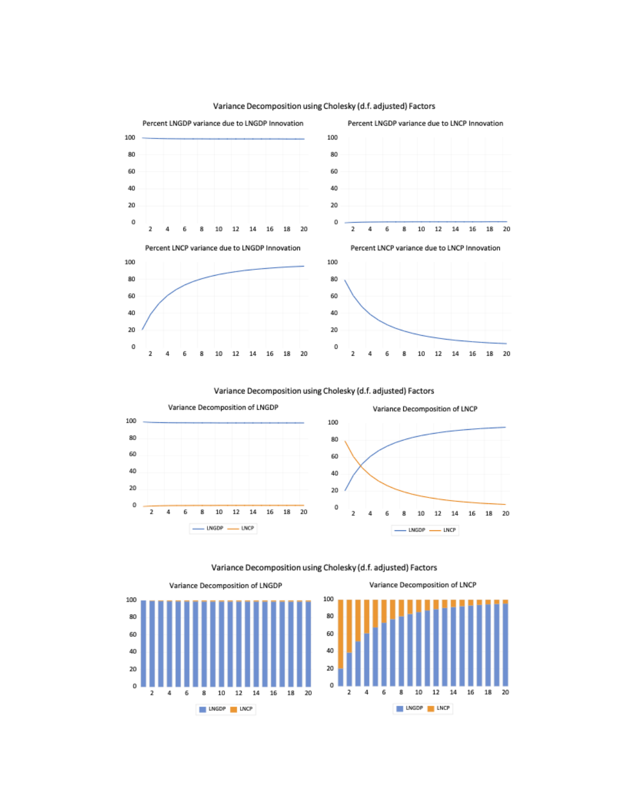

#### Variance Decomposition using Cholesky (d.f. adjusted) Factors

Variance Decomposition using Cholesky (d.f. adjusted) Factors



Variance Decomposition using Cholesky (d.f. adjusted) Factors



Variance Decomposition of LNCP

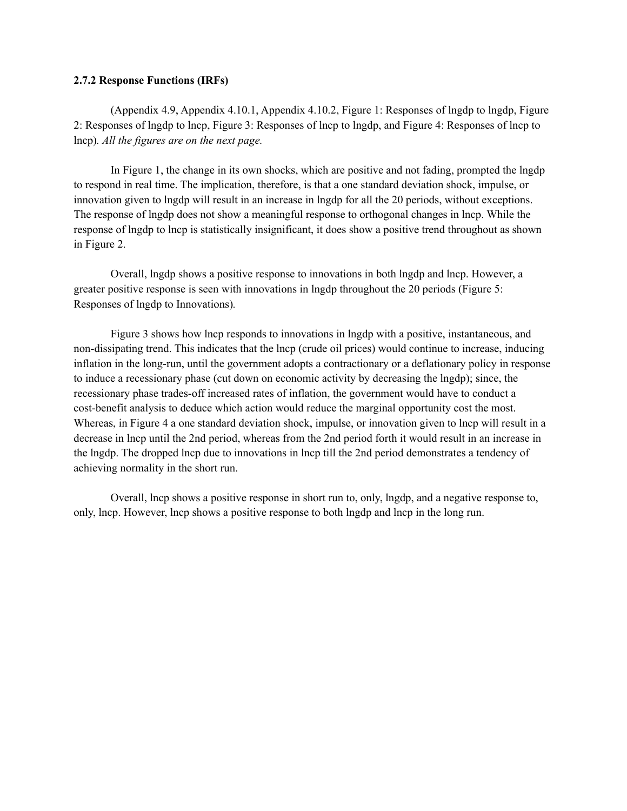#### **2.7.2 Response Functions (IRFs)**

(Appendix 4.9, Appendix 4.10.1, Appendix 4.10.2, Figure 1: Responses of lngdp to lngdp, Figure 2: Responses of lngdp to lncp, Figure 3: Responses of lncp to lngdp, and Figure 4: Responses of lncp to lncp)*. All the figures are on the next page.*

In Figure 1, the change in its own shocks, which are positive and not fading, prompted the lngdp to respond in real time. The implication, therefore, is that a one standard deviation shock, impulse, or innovation given to lngdp will result in an increase in lngdp for all the 20 periods, without exceptions. The response of lngdp does not show a meaningful response to orthogonal changes in lncp. While the response of lngdp to lncp is statistically insignificant, it does show a positive trend throughout as shown in Figure 2.

Overall, lngdp shows a positive response to innovations in both lngdp and lncp. However, a greater positive response is seen with innovations in lngdp throughout the 20 periods (Figure 5: Responses of lngdp to Innovations)*.*

Figure 3 shows how lncp responds to innovations in lngdp with a positive, instantaneous, and non-dissipating trend. This indicates that the lncp (crude oil prices) would continue to increase, inducing inflation in the long-run, until the government adopts a contractionary or a deflationary policy in response to induce a recessionary phase (cut down on economic activity by decreasing the lngdp); since, the recessionary phase trades-off increased rates of inflation, the government would have to conduct a cost-benefit analysis to deduce which action would reduce the marginal opportunity cost the most. Whereas, in Figure 4 a one standard deviation shock, impulse, or innovation given to lncp will result in a decrease in lncp until the 2nd period, whereas from the 2nd period forth it would result in an increase in the lngdp. The dropped lncp due to innovations in lncp till the 2nd period demonstrates a tendency of achieving normality in the short run.

Overall, lncp shows a positive response in short run to, only, lngdp, and a negative response to, only, lncp. However, lncp shows a positive response to both lngdp and lncp in the long run.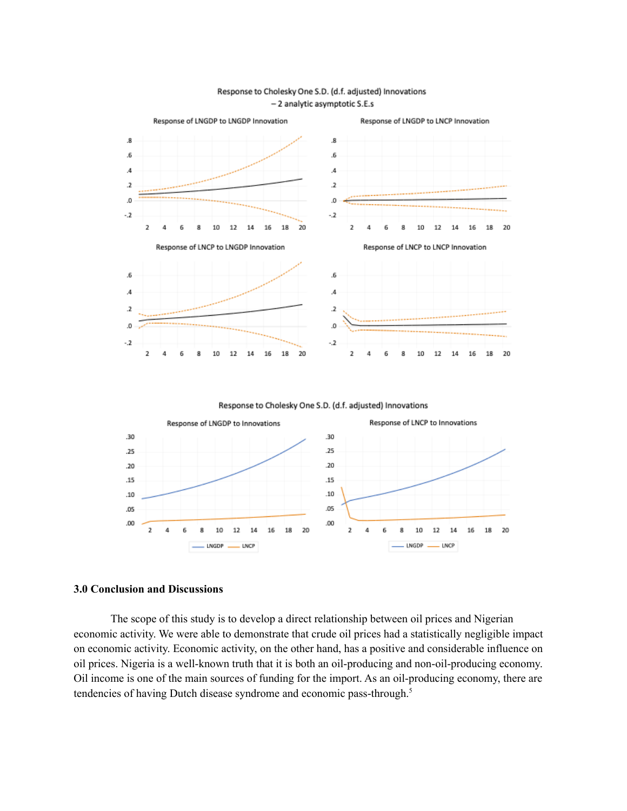

#### Response to Cholesky One S.D. (d.f. adjusted) Innovations - 2 analytic asymptotic S.E.s

Response to Cholesky One S.D. (d.f. adjusted) Innovations



#### **3.0 Conclusion and Discussions**

The scope of this study is to develop a direct relationship between oil prices and Nigerian economic activity. We were able to demonstrate that crude oil prices had a statistically negligible impact on economic activity. Economic activity, on the other hand, has a positive and considerable influence on oil prices. Nigeria is a well-known truth that it is both an oil-producing and non-oil-producing economy. Oil income is one of the main sources of funding for the import. As an oil-producing economy, there are tendencies of having Dutch disease syndrome and economic pass-through. 5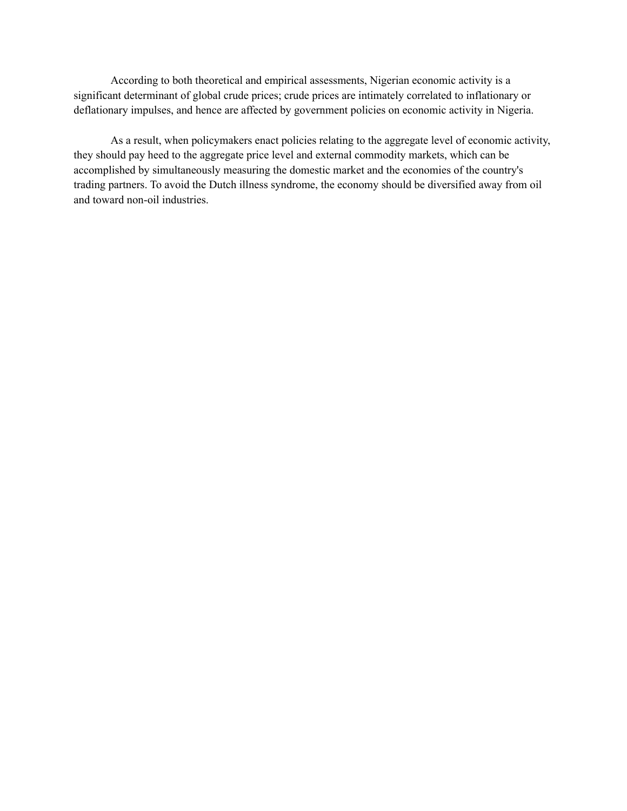According to both theoretical and empirical assessments, Nigerian economic activity is a significant determinant of global crude prices; crude prices are intimately correlated to inflationary or deflationary impulses, and hence are affected by government policies on economic activity in Nigeria.

As a result, when policymakers enact policies relating to the aggregate level of economic activity, they should pay heed to the aggregate price level and external commodity markets, which can be accomplished by simultaneously measuring the domestic market and the economies of the country's trading partners. To avoid the Dutch illness syndrome, the economy should be diversified away from oil and toward non-oil industries.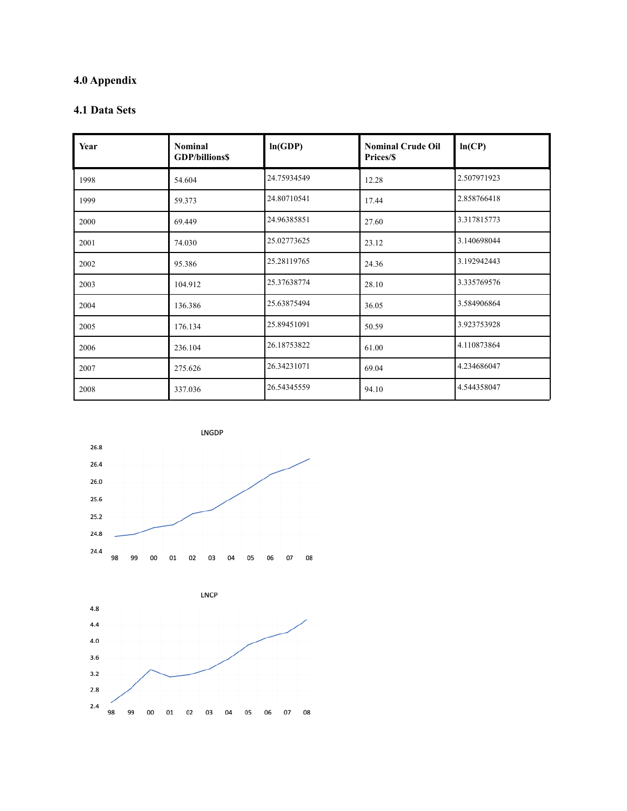# **4.0 Appendix**

# **4.1 Data Sets**

| Year | <b>Nominal</b><br><b>GDP/billions\$</b> | ln(GDP)     | <b>Nominal Crude Oil</b><br>Prices/\$ | ln(CP)      |
|------|-----------------------------------------|-------------|---------------------------------------|-------------|
| 1998 | 54.604                                  | 24.75934549 | 12.28                                 | 2.507971923 |
| 1999 | 59.373                                  | 24.80710541 | 17.44                                 | 2.858766418 |
| 2000 | 69.449                                  | 24.96385851 | 27.60                                 | 3.317815773 |
| 2001 | 74.030                                  | 25.02773625 | 23.12                                 | 3.140698044 |
| 2002 | 95.386                                  | 25.28119765 | 24.36                                 | 3.192942443 |
| 2003 | 104.912                                 | 25.37638774 | 28.10                                 | 3.335769576 |
| 2004 | 136.386                                 | 25.63875494 | 36.05                                 | 3.584906864 |
| 2005 | 176.134                                 | 25.89451091 | 50.59                                 | 3.923753928 |
| 2006 | 236.104                                 | 26.18753822 | 61.00                                 | 4.110873864 |
| 2007 | 275.626                                 | 26.34231071 | 69.04                                 | 4.234686047 |
| 2008 | 337.036                                 | 26.54345559 | 94.10                                 | 4.544358047 |



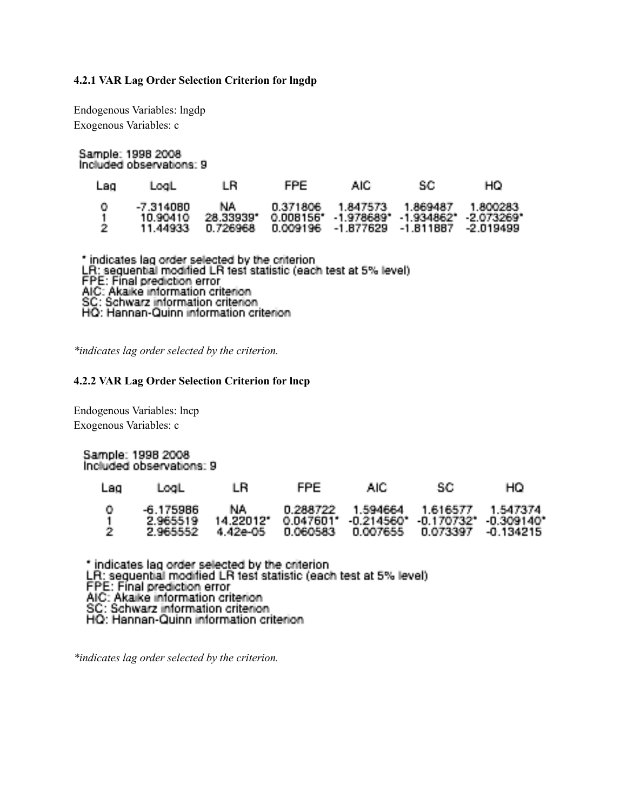#### **4.2.1 VAR Lag Order Selection Criterion for lngdp**

Endogenous Variables: lngdp Exogenous Variables: c

Sample: 1998 2008 Included observations: 9

| Lag            | LogLi                                | IB.              | FPE. | AIC.                                                                                                                            | SG. | HО                        |
|----------------|--------------------------------------|------------------|------|---------------------------------------------------------------------------------------------------------------------------------|-----|---------------------------|
| - 01<br>- 1991 | -7.314080.<br>10.90410.<br>11 44933. | NA.<br>28.33939* |      | 0.371806  1.847573  1.869487<br>$0.008156^*$ $1.978689^*$ $1.934862^*$ $2.073269^*$<br>0.726968  0.009196  -1.877629  -1.811887 |     | - 1 800283<br>$-2.019499$ |

\* indicates lag order selected by the criterion<br>LR: sequential modified LR test statistic (each test at 5% level)<br>FPE: Final prediction error<br>AIC: Akaike information criterion<br>SC: Schwarz information criterion<br>HQ: Hannan-Q

*\*indicates lag order selected by the criterion.*

#### **4.2.2 VAR Lag Order Selection Criterion for lncp**

Endogenous Variables: lncp Exogenous Variables: c

#### Sample: 1998 2008 Included observations: 9

| Lao, | LogL.                             | 1 B.                          | FPE.     | AIC.                                                                                                             | -SC- | HO. |
|------|-----------------------------------|-------------------------------|----------|------------------------------------------------------------------------------------------------------------------|------|-----|
| - 21 | -6.175986<br>2.965519<br>2.965552 | NA L<br>14 220121<br>4.42e-05 | 0.060583 | 0.288722 1.594664 1.616577 1.547374<br>0.047601* -0.214560* -0.170732* -0.309140*<br>0.007655 0.073397 -0.134215 |      |     |

\* indicates lag order selected by the criterion<br>LR: seguential modified LR test statistic (each test at 5% level). FPE: Final prediction error<br>AIC: Akaike information criterion SC: Schwarz information criterion<br>HQ: Hannan-Quinn information criterion

*\*indicates lag order selected by the criterion.*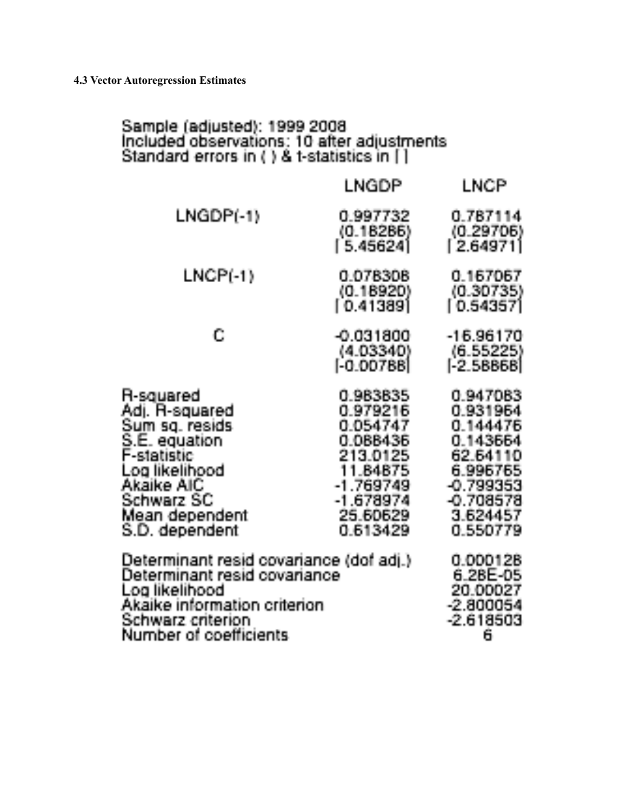# Sample (adjusted): 1999 2008<br>Included observations: 10 after adjustments<br>Standard errors in ( ) & t-statistics in [ ]

|                                                                                                                                                                            | LNGDP                                                                                                                      | LNCP                                                                                                                   |
|----------------------------------------------------------------------------------------------------------------------------------------------------------------------------|----------------------------------------------------------------------------------------------------------------------------|------------------------------------------------------------------------------------------------------------------------|
| LNGDP(-1)                                                                                                                                                                  | 0.997732<br>(0.18286)<br>[5.45624]                                                                                         | 0.787114<br>(0.29706)<br>[2.64971]                                                                                     |
| LNCP(-1)                                                                                                                                                                   | 0.078308<br>(0.18920)<br>[ 0.41389]                                                                                        | 0.167067<br>(0.30735)<br>[0.54357]                                                                                     |
| C                                                                                                                                                                          | $-0.031800$<br>(4.03340)<br>[-0.00788]                                                                                     | -16.96170<br>(6.55225)<br>[-2.58868]                                                                                   |
| R-squared<br>Adj. R-squared<br>Sum sq. resids<br>S.E. equation<br>F-statistic<br>Log likelihood<br>Akaike AIC<br>Schwarz SC<br>Mean dependent<br>S.D. dependent            | 0.983835<br>0.979216<br>0.054747<br>0.088436<br>213.0125<br>11.84875<br>$-1.769749$<br>$-1.678974$<br>25.60629<br>0.613429 | 0.947083<br>0.931964<br>0.144476<br>0.143664<br>62.64110<br>6.996765<br>-0.799353<br>-0.708578<br>3.624457<br>0.550779 |
| Determinant resid covariance (dof adj.).<br>Determinant resid covariance:<br>Log likelihood<br>Akaike information criterion<br>Schwarz criterion<br>Number of coefficients | 0.000128<br>6.28E-05<br>20.00027<br>$-2.800054$<br>$-2.618503$<br>6                                                        |                                                                                                                        |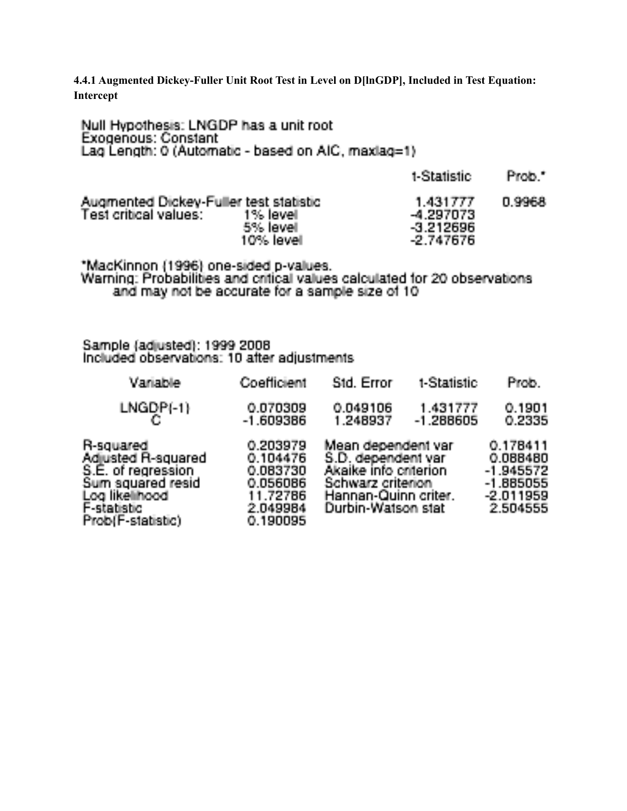**4.4.1 Augmented Dickey-Fuller Unit Root Test in Level on D[lnGDP], Included in Test Equation: Intercept**

| Null Hypothesis: LNGDP has a unit root<br><b>Exogenous: Constant</b><br>Lag Length: 0 (Automatic - based on AIC, maxlag=1) |                       |                                                     |        |
|----------------------------------------------------------------------------------------------------------------------------|-----------------------|-----------------------------------------------------|--------|
|                                                                                                                            |                       | t-Statistic                                         | Prob." |
| Augmented Dickey-Fuller test statistic<br>Test critical values: 1% level                                                   | 5% level<br>10% level | 1.431777<br>-4.297073<br>$-3.212696$<br>$-2.747676$ | 0.9968 |
| "MacKinnon (1996) one-sided p-values.                                                                                      |                       |                                                     |        |

Warning: Probabilities and critical values calculated for 20 observations and may not be accurate for a sample size of 10

Sample (adjusted): 1999 2008<br>Included observations: 10 after adjustments

| Variable                                                                                                                         | Coefficient                                                                      | Std. Error                                                                                                                           | t-Statistic             | Prob.                                                                     |
|----------------------------------------------------------------------------------------------------------------------------------|----------------------------------------------------------------------------------|--------------------------------------------------------------------------------------------------------------------------------------|-------------------------|---------------------------------------------------------------------------|
| $LNGDP(-1)$                                                                                                                      | 0.070309<br>$-1.609386$                                                          | 0.049106<br>1.248937                                                                                                                 | 1.431777<br>$-1.288605$ | 0.1901<br>0.2335                                                          |
| R-squared<br>Adjusted R-squared<br>S.E. of regression<br>Sum squared resid<br>Log likelihood<br>F-statistic<br>Prob(F-statistic) | 0.203979<br>0.104476<br>0.083730<br>0.056086<br>11.72786<br>2.049984<br>0.190095 | Mean dependent var<br>S.D. dependent var<br>Akaike info criterion<br>Schwarz criterion<br>Hannan-Quinn criter.<br>Durbin-Watson stat |                         | 0.178411<br>0.088480<br>-1.945572<br>-1.885055<br>$-2.011959$<br>2.504555 |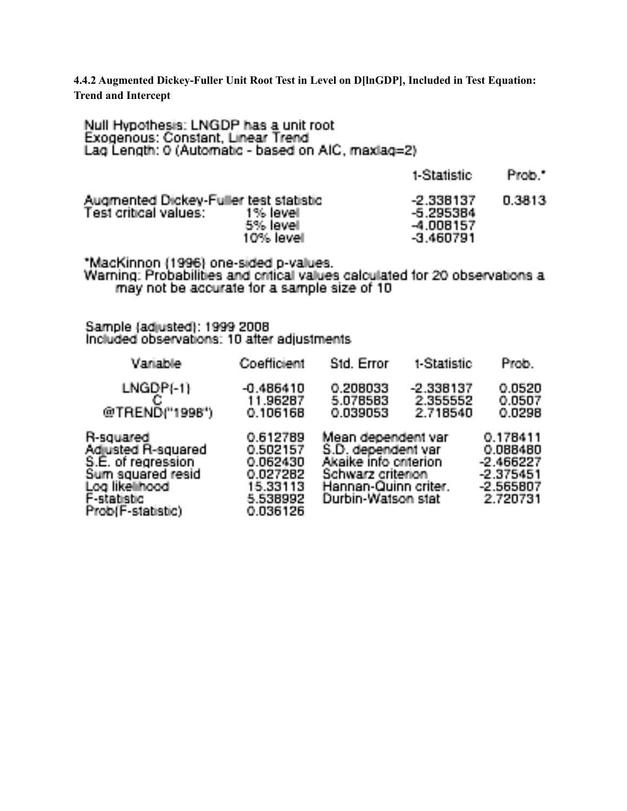**4.4.2 Augmented Dickey-Fuller Unit Root Test in Level on D[lnGDP], Included in Test Equation: Trend and Intercept**

| Null Hypothesis: LNGDP has a unit root<br>Exogenous: Constant, Linear Trend<br>Lag Length: 0 (Automatic - based on AIC, maxlag=2)                                   |                                              |                                                                                        |                                                        |                                                    |  |
|---------------------------------------------------------------------------------------------------------------------------------------------------------------------|----------------------------------------------|----------------------------------------------------------------------------------------|--------------------------------------------------------|----------------------------------------------------|--|
|                                                                                                                                                                     |                                              |                                                                                        | t-Statistic                                            | Prob."                                             |  |
| Augmented Dickey-Fuller test statistic<br>Test critical values:                                                                                                     | – 1% level<br>5% level<br>10% level          |                                                                                        | $-2.338137$<br>-5.295384<br>$-4,008157$<br>$-3.460791$ | 0.3813                                             |  |
| *MacKinnon (1996) one-sided p-values.<br>Warning: Probabilities and critical values calculated for 20 observations a<br>may not be accurate for a sample size of 10 |                                              |                                                                                        |                                                        |                                                    |  |
| Sample (adjusted): 1999 2008<br>Included observations: 10 after adjustments                                                                                         |                                              |                                                                                        |                                                        |                                                    |  |
| Variable                                                                                                                                                            | Coefficient                                  | Std. Error:                                                                            | t-Statistic                                            | Prob.                                              |  |
| $LNGDP(-1)$<br>C<br>@TREND("1998")                                                                                                                                  | $-0.486410$<br>11.96287<br>0.106168          | 0.208033<br>5.078583<br>0.039053                                                       | $-2.338137$<br>2.355552<br>2.718540                    | 0.0520<br>0.0507<br>0.0298                         |  |
| R-squared<br>Adjusted R-squared<br>S.E. of regression<br>Sum squared resid                                                                                          | 0.612789<br>0.502157<br>0.062430<br>0.027282 | Mean dependent var<br>S.D. dependent var<br>Akaike info criterion<br>Schwarz criterion |                                                        | 0.178411<br>0.088480<br>$-2.466227$<br>$-2.375451$ |  |

0.027282<br>15.33113

5.538992

0.036126

Log likelihood F-statistic

Prob(F-statistic)

Schwarz criterion<br>Hannan-Quinn criter.<br>Durbin-Watson stat

 $-2.375451$ <br> $-2.565807$ 

2.720731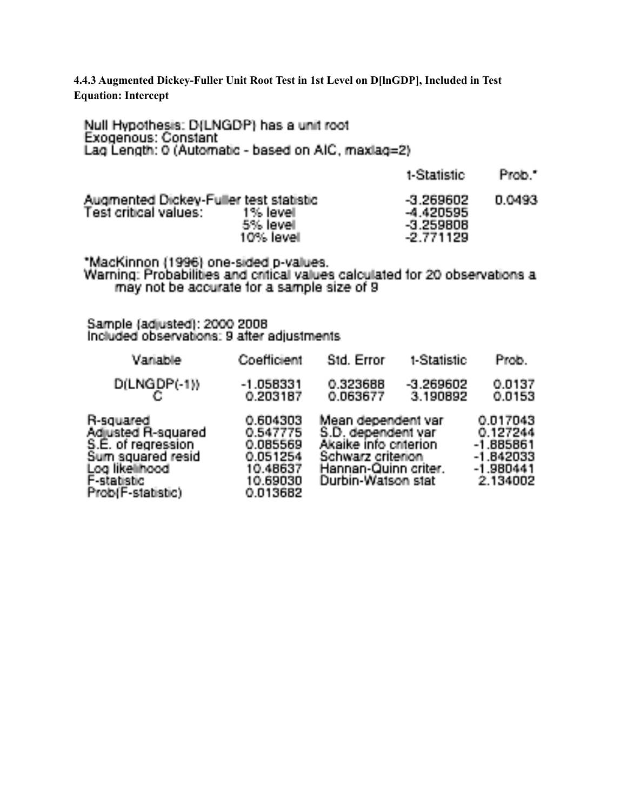**4.4.3 Augmented Dickey-Fuller Unit Root Test in 1st Level on D[lnGDP], Included in Test Equation: Intercept**

Null Hypothesis: D(LNGDP) has a unit root Exogenous: Constant Lag Length: 0 (Automatic - based on AIC, maxlag=2)

| Augmented Dickey-Fuller test statistic<br>Test critical values: 1% level<br>5% level. | $-3.269602$<br>-4.420595<br>$-3.259808$ | 0.0493 |
|---------------------------------------------------------------------------------------|-----------------------------------------|--------|
| $10\%$ level.                                                                         | $-2.771129$                             |        |

t-Statistic Prob.\*

\*MacKinnon (1996) one-sided p-values.<br>Warning: Probabilities and critical values calculated for 20 observations a may not be accurate for a sample size of 9

Sample (adjusted): 2000 2008 Included observations: 9 after adjustments

| Variable                                                                                                                         | Coefficient                                                                      | Std. Error                                                                                                                           | t-Statistic             | Prob.                                                                         |
|----------------------------------------------------------------------------------------------------------------------------------|----------------------------------------------------------------------------------|--------------------------------------------------------------------------------------------------------------------------------------|-------------------------|-------------------------------------------------------------------------------|
| $D(LNGDP(-1))$                                                                                                                   | $-1.058331$<br>0.203187                                                          | 0.323688<br>0.063677                                                                                                                 | $-3.269602$<br>3.190892 | 0.0137<br>0.0153                                                              |
| R-squared<br>Adjusted R-squared<br>S.E. of regression<br>Sum squared resid<br>Log likelihood<br>F-statistic<br>Prob(F-statistic) | 0.604303<br>0.547775<br>0.085569<br>0.051254<br>10.48637<br>10,69030<br>0.013682 | Mean dependent var<br>S.D. dependent var<br>Akaike info criterion<br>Schwarz criterion<br>Hannan-Quinn criter.<br>Durbin-Watson stat |                         | 0.017043<br>0.127244<br>$-1.885861$<br>$-1.842033$<br>$-1.980441$<br>2.134002 |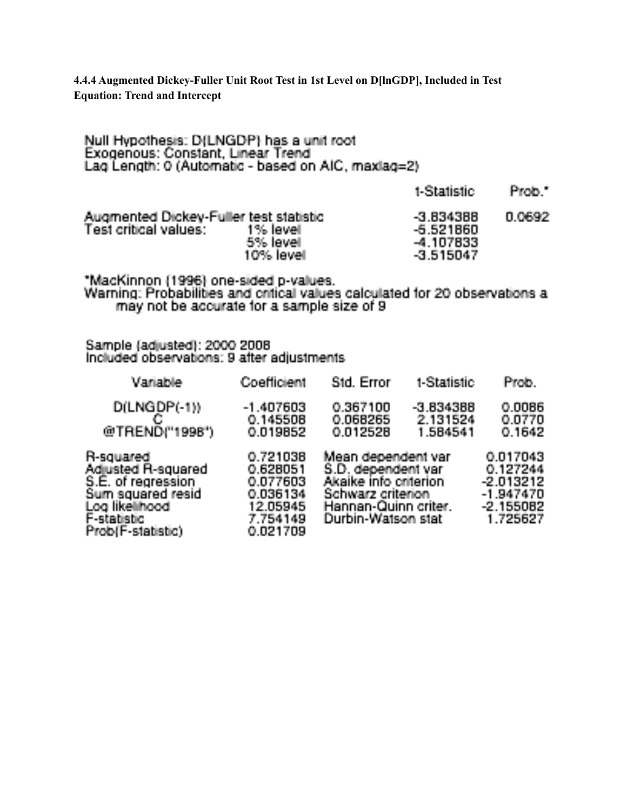**4.4.4 Augmented Dickey-Fuller Unit Root Test in 1st Level on D[lnGDP], Included in Test Equation: Trend and Intercept**

| Exogenous: Constant, Linear Trend<br>Lag Length: 0 (Automatic - based on AIC, maxlag=2) |                        |                                                          |        |
|-----------------------------------------------------------------------------------------|------------------------|----------------------------------------------------------|--------|
|                                                                                         |                        | t-Statistic.                                             | Prob." |
| Augmented Dickey-Fuller test statistic<br>Test critical values: 1% level                | 5% level.<br>10% level | $-3.834388$<br>$-5.521860$<br>$-4.107833$<br>$-3.515047$ | 0.0692 |

Null Hypothesis: D/LNGDP) has a unit root.

\*MacKinnon (1996) one-sided p-values.<br>Warning: Probabilities and critical values calculated for 20 observations a<br>may not be accurate for a sample size of 9

Sample (adjusted): 2000 2008<br>Included observations: 9 after adjustments

| Variable                                                                                                                           | Coefficient                                                                      | Std. Error                                                                                                                           | t-Statistic                         | <b>Prob</b>                                                                 |
|------------------------------------------------------------------------------------------------------------------------------------|----------------------------------------------------------------------------------|--------------------------------------------------------------------------------------------------------------------------------------|-------------------------------------|-----------------------------------------------------------------------------|
| $D(LNGDP(-1))$<br>@TREND("1998")                                                                                                   | $-1.407603$<br>0.145508<br>0.019852                                              | 0.367100<br>0.068265<br>0.012528                                                                                                     | $-3.834388$<br>2.131524<br>1.584541 | 0.0086<br>0.0770<br>0.1642                                                  |
| R-squared<br>Adjusted R-squared<br>S.É. of regression.<br>Sum squared resid<br>Log likelihoodi<br>F-statistic<br>Prob(F-statistic) | 0.721038<br>0.628051<br>0.077603<br>0.036134<br>12.05945<br>7.754149<br>0.021709 | Mean dependent var<br>S.D. dependent var<br>Akaike info criterion<br>Schwarz criterion<br>Hannan-Quinn criter.<br>Durbin-Watson stat |                                     | 0.017043<br>0.127244<br>$-2.013212$<br>-1.947470<br>$-2.155082$<br>1.725627 |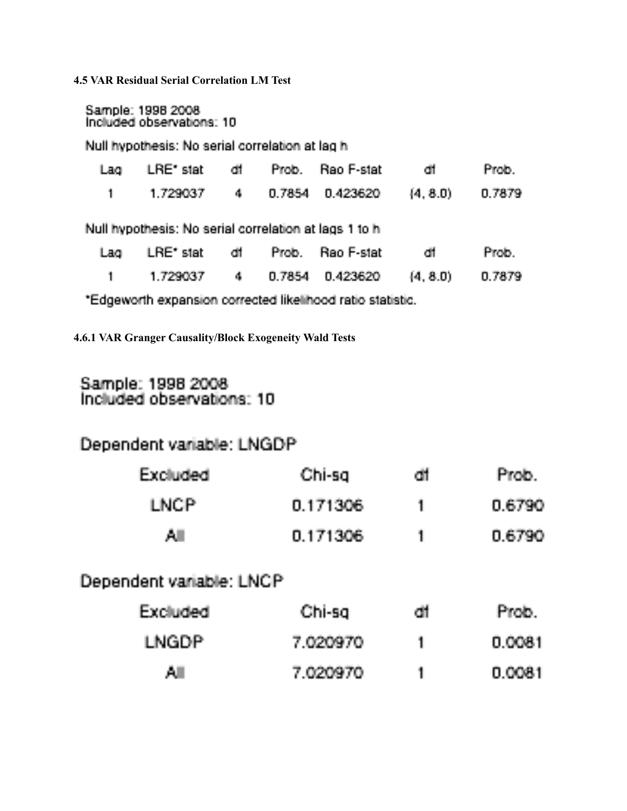**4.5 VAR Residual Serial Correlation LM Test**

Sample: 1998 2008<br>Included observations: 10

Null hypothesis: No serial correlation at lag h.

| Lag  | LRE'stat df Prob. Rao F-stat df                                                               |  |                           |       | Prob-  |
|------|-----------------------------------------------------------------------------------------------|--|---------------------------|-------|--------|
|      | 1 1.729037                                                                                    |  | 4 0.7854 0.423620 (4.8.0) |       | 0.7879 |
|      | Null hypothesis: No serial correlation at lags 1 to h.                                        |  |                           |       |        |
| Lag. | LRE'stat df Prob. Rao F-stat                                                                  |  |                           | - dit | Prob.  |
|      | 1 1.729037                                                                                    |  | 4 0.7854 0.423620 (4.8.0) |       | 0.7879 |
|      | 東西 discussionable incomparations in a construction in Historical and analysis and analysis of |  |                           |       |        |

\*Edgeworth expansion corrected likelihood ratio statistic.

**4.6.1 VAR Granger Causality/Block Exogeneity Wald Tests**

# Sample: 1998 2008<br>Included observations: 10

# Dependent variable: LNGDP

| Excluded | Chi-sal  | cit. | Prob., |
|----------|----------|------|--------|
| LNCP.    | 0.171306 |      | 0.6790 |
| ΑI       | 0.171306 |      | 0.6790 |

# Dependent variable: LNCP

| Excluded: | Chi-sal  | dt | Prob.  |
|-----------|----------|----|--------|
| LNGDP.    | 7.020970 |    | 0.0081 |
| ΑL        | 7.020970 |    | 0.0081 |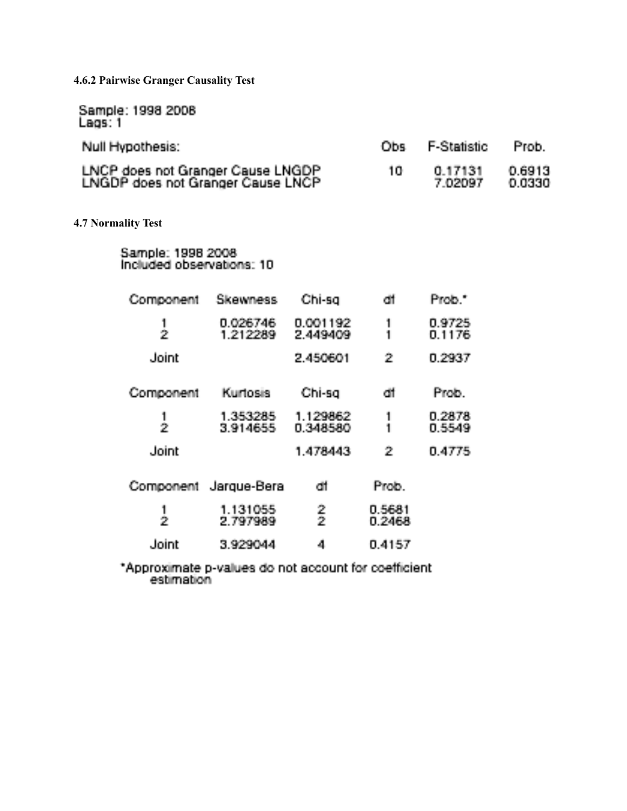**4.6.2 Pairwise Granger Causality Test**

Sample: 1998 2008<br>Lags: 1

| Null Hypothesis:                                                       | Obs F-Statistic    | Prob.            |
|------------------------------------------------------------------------|--------------------|------------------|
| LNCP does not Granger Cause LNGDP<br>LNGDP does not Granger Cause LNCP | 0.17131<br>7.02097 | 0.6913<br>0.0330 |

**4.7 Normality Test**

Sample: 1998 2008<br>Included observations: 10

| Component     | Skewness              | Chi-sg               | dif               | Prob "           |
|---------------|-----------------------|----------------------|-------------------|------------------|
| $\frac{1}{2}$ | 0.026746<br>1.212289  | 0.001192<br>2.449409 | 1<br>1            | 0.9725<br>0.1176 |
| Joint         |                       | 2.450601             | 2                 | 0.2937           |
| Component     | Kurtosis              | Chi-sg               | di                | Prob.            |
| $\frac{1}{2}$ | 1.353285<br>3.914655  | 1.129862<br>0.348580 | 1<br>$\mathbf{1}$ | 0.2878<br>0.5549 |
| Joint         |                       | 1.478443             | 2                 | 0.4775           |
|               | Component Jarque-Bera | di                   | Prob.             |                  |
| Ż             | 1.131055<br>2.797989  | $\frac{2}{2}$        | 0.5681<br>0.2468  |                  |
| Joint         | 3.929044              | 4                    | 0.4157            |                  |

\*Approximate p-values do not account for coefficient<br>estimation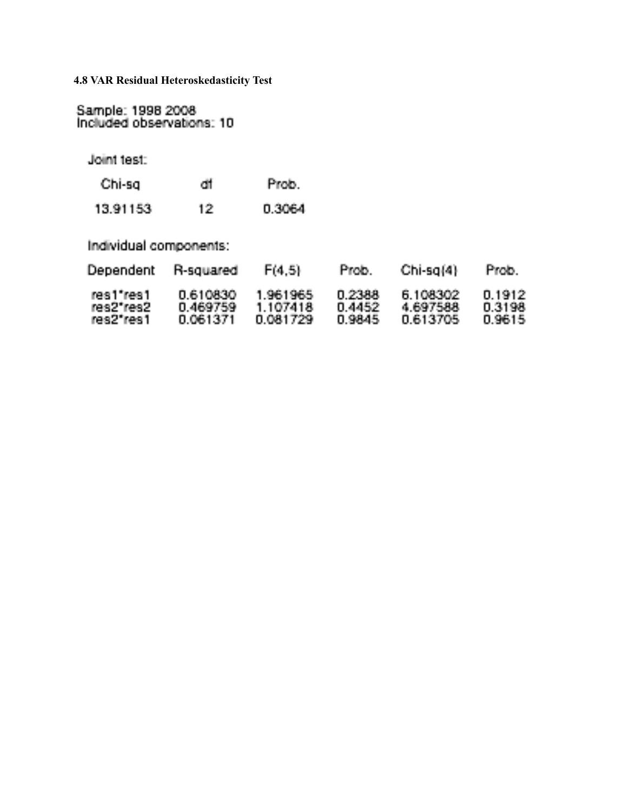**4.8 VAR Residual Heteroskedasticity Test**

Sample: 1998 2008<br>Included observations: 10

Joint test:

| Chi-sg   | cit | Prob.  |
|----------|-----|--------|
| 13.91153 | 12. | 0.3064 |

| 13.91153.<br>0.3064 |
|---------------------|
|---------------------|

Individual components:

| <b>Dependent</b> | R-squared | F(4.5)    | Prob.  | $Chi-sa(4)$ | Prob.   |
|------------------|-----------|-----------|--------|-------------|---------|
| res1"res1        | 0.610830  | 1.961965  | 0.2388 | 6.108302    | 0.1912. |
| res2"res2        | 0.469759  | 1 107418. | 0.4452 | 4.697588    | 0.3198  |
| res2"res1        | 0.061371  | 0.081729  | 0.9845 | 0.613705    | 0.9615  |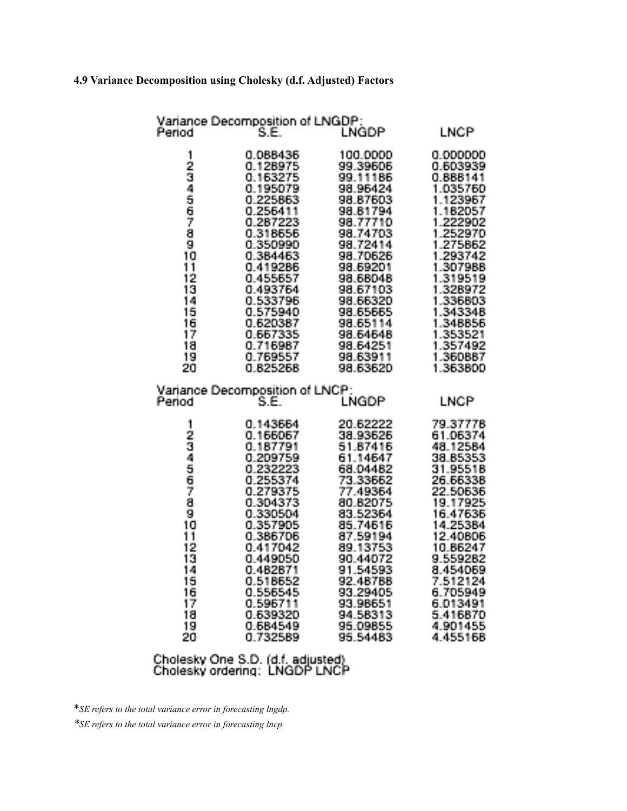# **4.9 Variance Decomposition using Cholesky (d.f. Adjusted) Factors**

| Period                                                                                                            | Variance Decomposition of LNGDP:<br>Ŝ.E.                                                                                                                                                                                                     | <b>LNGDP</b>                                                                                                                                                                                                                                 | <b>LNCP</b>                                                                                                                                                                                                                                  |
|-------------------------------------------------------------------------------------------------------------------|----------------------------------------------------------------------------------------------------------------------------------------------------------------------------------------------------------------------------------------------|----------------------------------------------------------------------------------------------------------------------------------------------------------------------------------------------------------------------------------------------|----------------------------------------------------------------------------------------------------------------------------------------------------------------------------------------------------------------------------------------------|
| 1<br>23456789<br>10<br>iī<br>$\frac{12}{13}$<br>$\frac{14}{15}$<br>$\frac{15}{16}$<br>$\frac{17}{18}$<br>19<br>20 | 0.088436<br>0.128975<br>0.163275<br>0.195079<br>0.225863<br>0.256411<br>0.287223<br>0.318656<br>0.350990<br>0.384463<br>0.419286<br>0.455657<br>0.493764<br>0.533796<br>0.575940<br>0.620387<br>0.667335<br>0.716987<br>0.769557<br>0.825268 | 100,0000<br>99.39606<br>99.11186<br>98.96424<br>98.87603<br>98.81794<br>98.77710<br>98.74703<br>98.72414<br>98.70626<br>98.69201<br>98.68048<br>98.67103<br>98.66320<br>98.65665<br>98.65114<br>98.64648<br>98.64251<br>98.63911<br>98.63620 | 0.000000<br>0.603939<br>0.888141<br>1.035760<br>1.123967<br>1.182057<br>1.222902<br>1.252970<br>1.275862<br>1.293742<br>1.307988<br>1.319519<br>1.328972<br>1.336803<br>1.343348<br>1.348856<br>1.353521<br>1.357492<br>1.360887<br>1.363800 |
| Period                                                                                                            | Variance Decomposition of LNCP:<br>S.E.                                                                                                                                                                                                      | LNGDP                                                                                                                                                                                                                                        | LNCP                                                                                                                                                                                                                                         |
| 1<br>2345678<br>ā<br>1Ō.<br>ŤĪ.<br>$\frac{12}{13}$<br>1456789<br>20.                                              | 0.143664<br>0.166067<br>0.187791<br>0.209759<br>0.232223<br>0.255374<br>0.279375<br>0.304373<br>0.330504<br>0.357905<br>0.386706<br>0.417042<br>0.449050<br>0.482871<br>0.518652<br>0.556545<br>0.596711<br>0.639320<br>0.684549<br>0.732589 | 20.62222<br>38.93626<br>51.87416<br>61.14647<br>68.04482<br>73.33662<br>77.49364<br>80.82075<br>83.52364<br>85.74616<br>87.59194<br>89.13753<br>90.44072<br>91.54593<br>92.48788<br>93.29405<br>93.98651<br>94.58313<br>95.09855<br>95.54483 | 79.37778<br>61.06374<br>48.12584<br>38.85353<br>31.95518<br>26.66338<br>22.50636<br>19.17925<br>16.47636<br>14.25384<br>12.40806<br>10.86247<br>9.559282<br>8.454069<br>7.512124<br>6.705949<br>6.013491<br>5.416870<br>4.901455<br>4.455168 |

Cholesky One S.D. (d.f. adjusted)<br>Cholesky ordering: LNGDP LNCP

\**SE refers to the total variance error in forecasting lngdp.*

*\*SE refers to the total variance error in forecasting lncp.*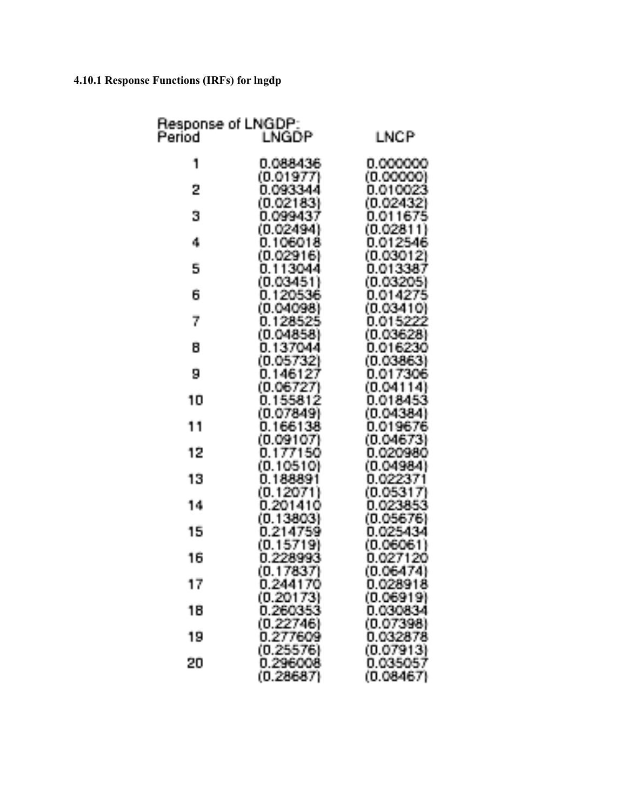# **4.10.1 Response Functions (IRFs) for lngdp**

| Response of LNGDP:<br>Period | LNGDP                    | LNCP                  |
|------------------------------|--------------------------|-----------------------|
| 1                            | 0.088436                 | 0.000000<br>(0.00000) |
| 2                            | (0.01977)<br>0.093344    | 0.010023              |
| 3                            | (0.02183)<br>0.099437    | (0.02432)<br>0.01167  |
| 4                            | (0.02494)<br>0.1060      | (0.0281<br>0.0125-    |
| 5                            | (0.02916)<br>0.113044    | (0.0301<br>0.01338    |
| 6                            | (0.03451)<br>0.120536    | (0.0320)<br>0.014275  |
|                              | (0.04098)                | (0.03410)             |
| 7                            | 0.128525<br>(0.04858)    | 0.015222<br>(0.03628) |
| 8                            | 0.137044<br>(0.05732)    | 0.016230<br>(0.03863) |
| 9                            | 0.146127<br>(0.06727)    | 0.017306<br>(0.04114  |
| 10                           | 0.155812<br>(0.07849)    | 0.018453<br>(0.04384) |
| 11                           | 0.166138<br>(0.09107)    | 0.019676<br>(0.04673) |
| 12                           | 0.177150                 | 0.020980              |
| 13                           | $(0.10510)$<br>0.188891  | (0.04984)<br>0.022371 |
| 14                           | (0.12071)<br>0.201410    | (0.05317)<br>0.023853 |
| 15                           | (0.13803)<br>0.214759    | (0.05676)<br>0.025434 |
| 16                           | (0.15719)<br>0.228993    | (0.0606)<br>0.027120  |
| 17                           | ĆΟ<br>.17837<br>0.244170 | (0.06474)<br>0.028918 |
| 18                           | (0.20173)<br>0.260353    | (0.06919)<br>0.030834 |
| 19                           | (0.22746)<br>0.277609    | (0.07398)<br>0.032878 |
|                              | (0.25576)                | (0.07913)             |
| 20                           | 0.296008<br>(0.28687)    | 0.035057<br>(0.08467) |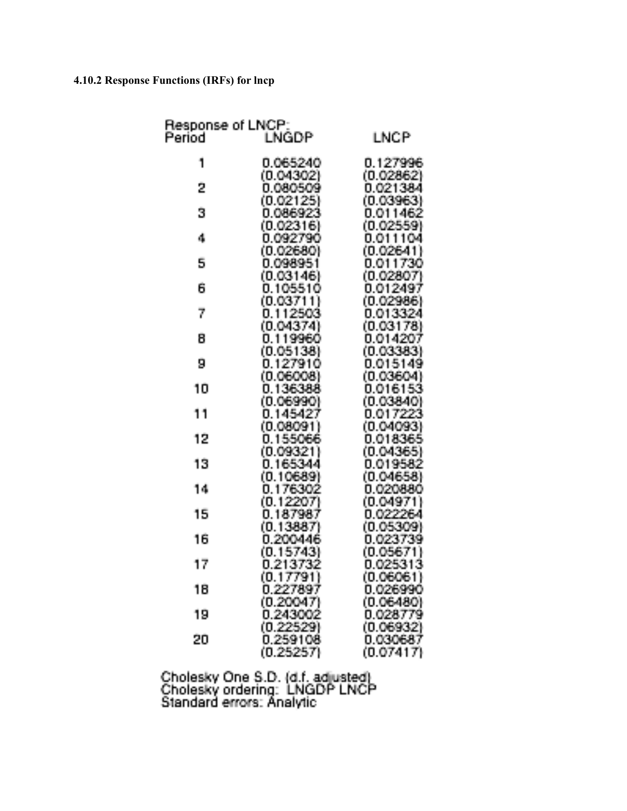# **4.10.2 Response Functions (IRFs) for lncp**

|    | Response of LNCP:<br>Period    LNGDP |                       |
|----|--------------------------------------|-----------------------|
|    |                                      | <b>LNCP</b>           |
| 1  | 0.065240                             | 0.127996              |
|    | (0.04302)                            | (0.02862)             |
| 2  | 0.080509                             | 0.021384              |
|    | (0.02125)                            | (0.03963)             |
| 3  | 0.086923                             | 0.011462              |
|    | (0.02316)                            | (0.02559)             |
| 4  | 0.092790                             | 0.01110               |
|    | (0.02680)                            | (0.02641)             |
| 5  | 0.098951<br>(0.03146)                | 0.01173<br>(0.02807)  |
| 6  | 0.105510                             | 0.01249               |
|    | (0.03711)                            | (0.0298)              |
| 7  | 0.112503                             | 0.013324              |
|    | (0.04374)                            | (0.03178)             |
| 8  | 0.119960                             | 0.014207              |
|    | (0.05138)                            | (0.03383)             |
| 9  | 0.127910                             | 0.015149              |
|    | (0.06008)                            | (0.0360)              |
| 10 | 0.136388                             | 0.01615               |
|    | (0.06990)                            | (0.03840)             |
| 11 | 0.145427                             | 0.01722<br>(0.04093)  |
| 12 | (0.08091)<br>0.155066                | 0.01834               |
|    | (0.09321)                            | (0.0436)              |
| 13 | 0.165344                             | 0.01958               |
|    | (0.10689)                            | (0.04658)             |
| 14 | 0.176302                             | 0.020880              |
|    | (0.12207)                            | (0.04971              |
| 15 | 0.18798                              | 0.0222                |
|    | (0.13887)                            | (0.0530               |
| 16 | 0.200446                             | 0.02373               |
|    | (0.15743)                            | (0.0567               |
| 17 | 0.21373                              | 0.02531               |
|    | (0.17791)<br>0.227897                | (0.06061)<br>0.026990 |
| 18 | (0.2004)                             | (0.06480)             |
| 19 | በ 243)                               | 0.028779              |
|    |                                      | (0.0693               |
| 20 |                                      | 0.030687              |
|    | (0.252                               | (0.07417)             |

Cholesky One S.D. (d.f. adjusted)<br>Cholesky ordering: LNGDP LNCP<br>Standard errors: Analytic